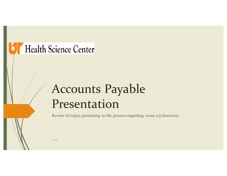## **T** Health Science Center

# Accounts Payable Presentation

Review of topics pertaining to the process regarding some a/p functions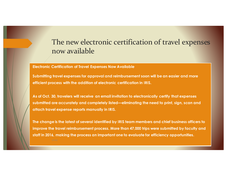#### The new electronic certification of travel expenses now available

**Electronic Certification of Travel Expenses Now Available**

**Submitting travel expenses for approval and reimbursement soon will be an easier and more efficient process with the addition of electronic certification in IRIS.** 

**As of Oct. 30, travelers will receive an email invitation to electronically certify that expenses submitted are accurately and completely listed—eliminating the need to print, sign, scan and attach travel expense reports manually in IRIS.**

**The change is the latest of several identified by IRIS team members and chief business officers to improve the travel reimbursement process. More than 47,000 trips were submitted by faculty and staff in 2016, making the process an important one to evaluate for efficiency opportunities.**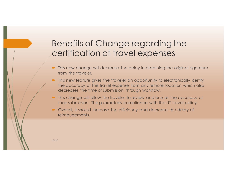#### Benefits of Change regarding the certification of travel expenses

- This new change will decrease the delay in obtaining the original signature from the traveler.
- $\blacksquare$  This new feature gives the traveler an opportunity to electronically certify the accuracy of the travel expense from any remote location which also decreases the time of submission through workflow.
- This change will allow the traveler to review and ensure the accuracy of their submission. This guarantees compliance with the UT travel policy.
- Overall, it should increase the efficiency and decrease the delay of reimbursements.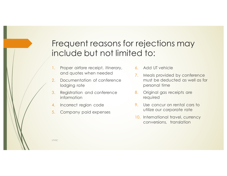#### Frequent reasons for rejections may include but not limited to:

- 1. Proper airfare receipt, itinerary, and quotes when needed
- 2. Documentation of conference lodging rate
- 3. Registration and conference information
- 4. Incorrect region code
- 5. Company paid expenses
- 6. Add UT vehicle
- 7. Meals provided by conference must be deducted as well as for personal time
- 8. Original gas receipts are required
- 9. Use concur on rental cars to utilize our corporate rate
- 10. International travel, currency conversions, translation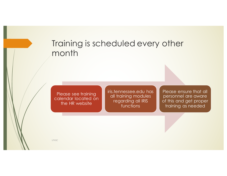#### Training is scheduled every other month

Please see training calendar located on the HR website

iris.tennessee.edu has all training modules regarding all IRIS functions

Please ensure that all personnel are aware of this and get proper training as needed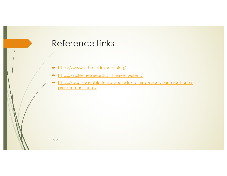#### Reference Links

- https://www.uthsc.edu/hrtraining/
- $\blacksquare$  https://iris.tennessee.edu/iris-travel-system/
- ´ https://acctspayable.tennessee.edu/training/record-an-asset-on-aprocurement-card/